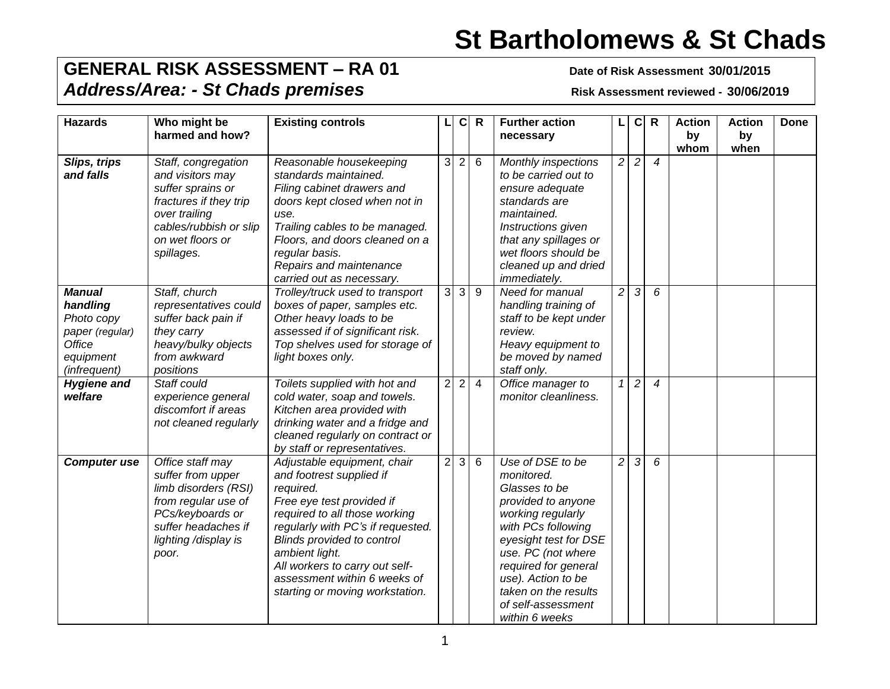## **St Bartholomews & St Chads**

## **GENERAL RISK ASSESSMENT – RA 01 Date of Risk Assessment 30/01/2015** *Address/Area: - St Chads premises* **Risk Assessment reviewed - 30/06/2019**

| <b>Hazards</b>                                                                                    | Who might be<br>harmed and how?                                                                                                                                     | <b>Existing controls</b>                                                                                                                                                                                                                                                                                                     |                | $\mathbf c$    | $\mathsf{R}$   | <b>Further action</b><br>necessary                                                                                                                                                                                                                                            | L              | c              | $\mathsf{R}$   | <b>Action</b><br>by | <b>Action</b><br>by | <b>Done</b> |
|---------------------------------------------------------------------------------------------------|---------------------------------------------------------------------------------------------------------------------------------------------------------------------|------------------------------------------------------------------------------------------------------------------------------------------------------------------------------------------------------------------------------------------------------------------------------------------------------------------------------|----------------|----------------|----------------|-------------------------------------------------------------------------------------------------------------------------------------------------------------------------------------------------------------------------------------------------------------------------------|----------------|----------------|----------------|---------------------|---------------------|-------------|
| Slips, trips<br>and falls                                                                         | Staff, congregation<br>and visitors may<br>suffer sprains or<br>fractures if they trip<br>over trailing<br>cables/rubbish or slip<br>on wet floors or<br>spillages. | Reasonable housekeeping<br>standards maintained.<br>Filing cabinet drawers and<br>doors kept closed when not in<br>use.<br>Trailing cables to be managed.<br>Floors, and doors cleaned on a<br>regular basis.<br>Repairs and maintenance<br>carried out as necessary.                                                        | 3              | $\overline{2}$ | $6\phantom{1}$ | Monthly inspections<br>to be carried out to<br>ensure adequate<br>standards are<br>maintained.<br>Instructions given<br>that any spillages or<br>wet floors should be<br>cleaned up and dried<br>immediately.                                                                 | $\overline{c}$ | $\overline{c}$ | $\overline{4}$ | whom                | when                |             |
| <b>Manual</b><br>handling<br>Photo copy<br>paper (regular)<br>Office<br>equipment<br>(infrequent) | Staff, church<br>representatives could<br>suffer back pain if<br>they carry<br>heavy/bulky objects<br>from awkward<br>positions                                     | Trolley/truck used to transport<br>boxes of paper, samples etc.<br>Other heavy loads to be<br>assessed if of significant risk.<br>Top shelves used for storage of<br>light boxes only.                                                                                                                                       | 3              | 3              | $9\,$          | Need for manual<br>handling training of<br>staff to be kept under<br>review.<br>Heavy equipment to<br>be moved by named<br>staff only.                                                                                                                                        | $\overline{c}$ | 3              | 6              |                     |                     |             |
| <b>Hygiene and</b><br>welfare                                                                     | Staff could<br>experience general<br>discomfort if areas<br>not cleaned regularly                                                                                   | Toilets supplied with hot and<br>cold water, soap and towels.<br>Kitchen area provided with<br>drinking water and a fridge and<br>cleaned regularly on contract or<br>by staff or representatives.                                                                                                                           | $\overline{2}$ | 2              | $\overline{4}$ | Office manager to<br>monitor cleanliness.                                                                                                                                                                                                                                     | 1              | $\overline{2}$ | $\overline{4}$ |                     |                     |             |
| <b>Computer use</b>                                                                               | Office staff may<br>suffer from upper<br>limb disorders (RSI)<br>from regular use of<br>PCs/keyboards or<br>suffer headaches if<br>lighting /display is<br>poor.    | Adjustable equipment, chair<br>and footrest supplied if<br>required.<br>Free eye test provided if<br>required to all those working<br>regularly with PC's if requested.<br>Blinds provided to control<br>ambient light.<br>All workers to carry out self-<br>assessment within 6 weeks of<br>starting or moving workstation. | $\overline{2}$ | 3              | 6              | Use of DSE to be<br>monitored.<br>Glasses to be<br>provided to anyone<br>working regularly<br>with PCs following<br>eyesight test for DSE<br>use. PC (not where<br>required for general<br>use). Action to be<br>taken on the results<br>of self-assessment<br>within 6 weeks | $\overline{c}$ | 3              | 6              |                     |                     |             |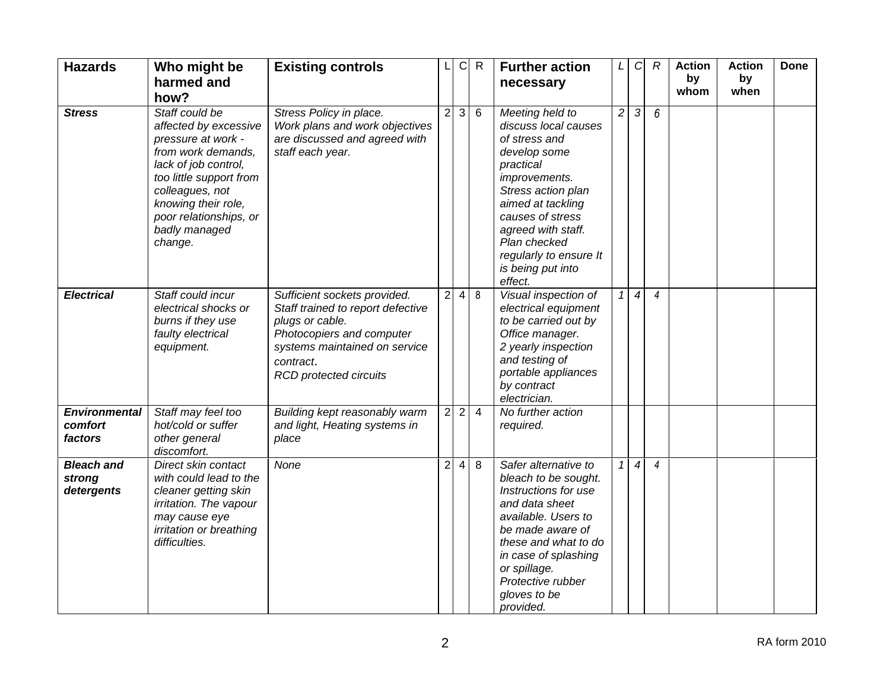| <b>Hazards</b>                             | Who might be                                                                                                                                                                                                                           | <b>Existing controls</b>                                                                                                                                                                         |                | C          | $\mathsf{R}$   | <b>Further action</b>                                                                                                                                                                                                                                                 | L              | $\mathcal{C}$    | $\boldsymbol{R}$ | <b>Action</b> | <b>Action</b> | <b>Done</b> |
|--------------------------------------------|----------------------------------------------------------------------------------------------------------------------------------------------------------------------------------------------------------------------------------------|--------------------------------------------------------------------------------------------------------------------------------------------------------------------------------------------------|----------------|------------|----------------|-----------------------------------------------------------------------------------------------------------------------------------------------------------------------------------------------------------------------------------------------------------------------|----------------|------------------|------------------|---------------|---------------|-------------|
|                                            | harmed and<br>how?                                                                                                                                                                                                                     |                                                                                                                                                                                                  |                |            |                | necessary                                                                                                                                                                                                                                                             |                |                  |                  | by<br>whom    | by<br>when    |             |
| <b>Stress</b>                              | Staff could be<br>affected by excessive<br>pressure at work -<br>from work demands,<br>lack of job control,<br>too little support from<br>colleagues, not<br>knowing their role,<br>poor relationships, or<br>badly managed<br>change. | Stress Policy in place.<br>Work plans and work objectives<br>are discussed and agreed with<br>staff each year.                                                                                   | $\overline{2}$ | 3          | 6              | Meeting held to<br>discuss local causes<br>of stress and<br>develop some<br>practical<br>improvements.<br>Stress action plan<br>aimed at tackling<br>causes of stress<br>agreed with staff.<br>Plan checked<br>regularly to ensure It<br>is being put into<br>effect. | $\overline{c}$ | $\sqrt{3}$       | 6                |               |               |             |
| <b>Electrical</b>                          | Staff could incur<br>electrical shocks or<br>burns if they use<br>faulty electrical<br>equipment.                                                                                                                                      | Sufficient sockets provided.<br>Staff trained to report defective<br>plugs or cable.<br>Photocopiers and computer<br>systems maintained on service<br>contract.<br><b>RCD</b> protected circuits | $\overline{2}$ | 4          | 8              | Visual inspection of<br>electrical equipment<br>to be carried out by<br>Office manager.<br>2 yearly inspection<br>and testing of<br>portable appliances<br>by contract<br>electrician.                                                                                | 1              | $\boldsymbol{4}$ | $\overline{4}$   |               |               |             |
| <b>Environmental</b><br>comfort<br>factors | Staff may feel too<br>hot/cold or suffer<br>other general<br>discomfort.                                                                                                                                                               | Building kept reasonably warm<br>and light, Heating systems in<br>place                                                                                                                          | $\overline{c}$ | $\sqrt{2}$ | $\overline{4}$ | No further action<br>required.                                                                                                                                                                                                                                        |                |                  |                  |               |               |             |
| <b>Bleach and</b><br>strong<br>detergents  | Direct skin contact<br>with could lead to the<br>cleaner getting skin<br>irritation. The vapour<br>may cause eye<br>irritation or breathing<br>difficulties.                                                                           | None                                                                                                                                                                                             | $\overline{2}$ | 4          | 8              | Safer alternative to<br>bleach to be sought.<br>Instructions for use<br>and data sheet<br>available. Users to<br>be made aware of<br>these and what to do<br>in case of splashing<br>or spillage.<br>Protective rubber<br>gloves to be<br>provided.                   | $\mathcal I$   | $\boldsymbol{4}$ | $\overline{4}$   |               |               |             |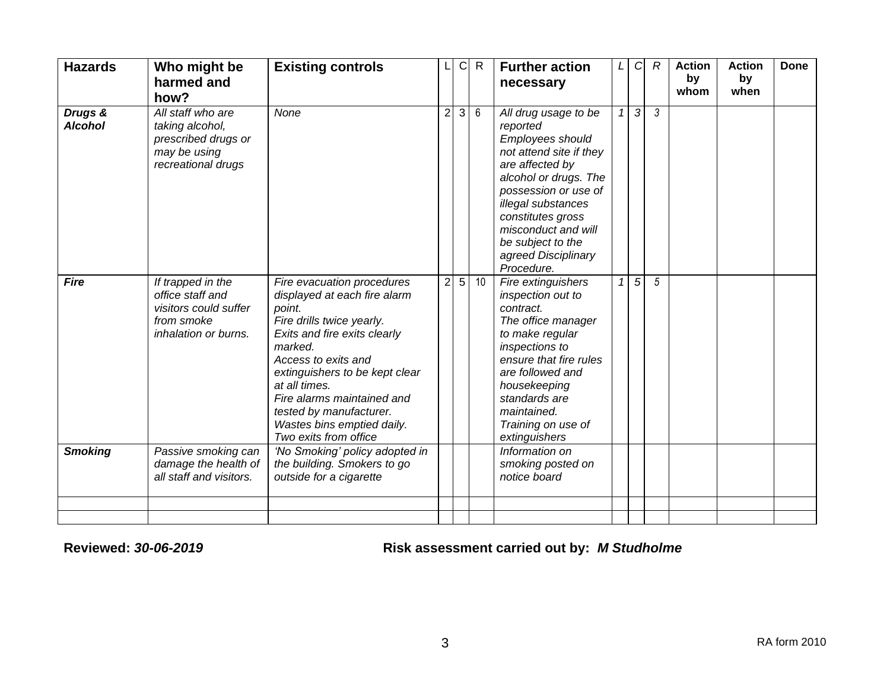| <b>Hazards</b>            | Who might be<br>harmed and<br>how?                                                                   | <b>Existing controls</b>                                                                                                                                                                                                                                                                                                               |                | С | $\mathsf{R}$    | <b>Further action</b><br>necessary                                                                                                                                                                                                                                              | L | $\mathcal{C}$ | $\mathcal{R}$  | <b>Action</b><br>by<br>whom | <b>Action</b><br>by<br>when | <b>Done</b> |
|---------------------------|------------------------------------------------------------------------------------------------------|----------------------------------------------------------------------------------------------------------------------------------------------------------------------------------------------------------------------------------------------------------------------------------------------------------------------------------------|----------------|---|-----------------|---------------------------------------------------------------------------------------------------------------------------------------------------------------------------------------------------------------------------------------------------------------------------------|---|---------------|----------------|-----------------------------|-----------------------------|-------------|
| Drugs &<br><b>Alcohol</b> | All staff who are<br>taking alcohol,<br>prescribed drugs or<br>may be using<br>recreational drugs    | None                                                                                                                                                                                                                                                                                                                                   | $\overline{2}$ | 3 | $6\phantom{1}6$ | All drug usage to be<br>reported<br>Employees should<br>not attend site if they<br>are affected by<br>alcohol or drugs. The<br>possession or use of<br>illegal substances<br>constitutes gross<br>misconduct and will<br>be subject to the<br>agreed Disciplinary<br>Procedure. | 1 | 3             | 3              |                             |                             |             |
| <b>Fire</b>               | If trapped in the<br>office staff and<br>visitors could suffer<br>from smoke<br>inhalation or burns. | Fire evacuation procedures<br>displayed at each fire alarm<br>point.<br>Fire drills twice yearly.<br>Exits and fire exits clearly<br>marked.<br>Access to exits and<br>extinguishers to be kept clear<br>at all times.<br>Fire alarms maintained and<br>tested by manufacturer.<br>Wastes bins emptied daily.<br>Two exits from office | $\overline{2}$ | 5 | 10              | Fire extinguishers<br>inspection out to<br>contract.<br>The office manager<br>to make regular<br>inspections to<br>ensure that fire rules<br>are followed and<br>housekeeping<br>standards are<br>maintained.<br>Training on use of<br>extinguishers                            |   | 5             | $\overline{5}$ |                             |                             |             |
| <b>Smoking</b>            | Passive smoking can<br>damage the health of<br>all staff and visitors.                               | 'No Smoking' policy adopted in<br>the building. Smokers to go<br>outside for a cigarette                                                                                                                                                                                                                                               |                |   |                 | Information on<br>smoking posted on<br>notice board                                                                                                                                                                                                                             |   |               |                |                             |                             |             |
|                           |                                                                                                      |                                                                                                                                                                                                                                                                                                                                        |                |   |                 |                                                                                                                                                                                                                                                                                 |   |               |                |                             |                             |             |

**Reviewed:** *30-06-2019* **Risk assessment carried out by:** *M Studholme*